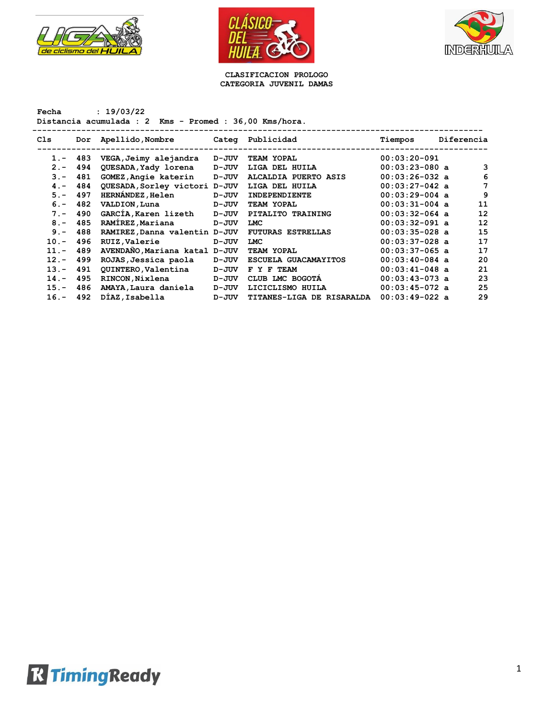





**CLASIFICACION PROLOGO CATEGORIA JUVENIL DAMAS**

**Fecha : 19/03/22 Distancia acumulada : 2 Kms - Promed : 36,00 Kms/hora.**

| Cls     | Dor | Apellido,Nombre               |       | Categ Publicidad          | Tiempos          | Diferencia |    |
|---------|-----|-------------------------------|-------|---------------------------|------------------|------------|----|
| $1 -$   | 483 | VEGA, Jeimy alejandra         | D-JUV | TEAM YOPAL                | $00:03:20-091$   |            |    |
| $2 -$   | 494 | QUESADA, Yady lorena          | D-JUV | LIGA DEL HUILA            | $00:03:23-080$ a |            | 3  |
| $3 -$   | 481 | GOMEZ, Angie katerin          | D-JUV | ALCALDIA PUERTO ASIS      | $00:03:26-032$ a |            | 6  |
| $4 -$   | 484 | QUESADA, Sorley victori D-JUV |       | LIGA DEL HUILA            | $00:03:27-042$ a |            | 7  |
| $5 -$   | 497 | <b>HERNÁNDEZ, Helen</b>       | D-JUV | <b>INDEPENDIENTE</b>      | $00:03:29-004$ a |            | 9  |
| $6 -$   | 482 | VALDION, Luna                 | D-JUV | TEAM YOPAL                | $00:03:31-004$ a |            | 11 |
| $7 -$   | 490 | GARCIA, Karen lizeth          | D-JUV | PITALITO TRAINING         | $00:03:32-064$ a |            | 12 |
| $8 -$   | 485 | RAMIREZ, Mariana              | D-JUV | <b>LMC</b>                | $00:03:32-091$ a |            | 12 |
| $9 -$   | 488 | RAMIREZ, Danna valentin D-JUV |       | <b>FUTURAS ESTRELLAS</b>  | $00:03:35-028$ a |            | 15 |
| $10. -$ | 496 | RUIZ, Valerie                 | D-JUV | <b>LMC</b>                | $00:03:37-028$ a |            | 17 |
| $11. -$ | 489 | AVENDAÑO, Mariana katal D-JUV |       | TEAM YOPAL                | $00:03:37-065$ a |            | 17 |
| $12 -$  | 499 | ROJAS, Jessica paola          | D-JUV | ESCUELA GUACAMAYITOS      | $00:03:40-084$ a |            | 20 |
| $13 -$  | 491 | QUINTERO, Valentina           | D-JUV | F Y F TEAM                | $00:03:41-048$ a |            | 21 |
| $14. -$ | 495 | RINCON, Nixlena               | D-JUV | CLUB LMC BOGOTA           | $00:03:43-073$ a |            | 23 |
| $15. -$ | 486 | AMAYA, Laura daniela          | D-JUV | LICICLISMO HUILA          | $00:03:45-072$ a |            | 25 |
| $16. -$ | 492 | DIAZ, Isabella                | D-JUV | TITANES-LIGA DE RISARALDA | $00:03:49-022$ a |            | 29 |
|         |     |                               |       |                           |                  |            |    |

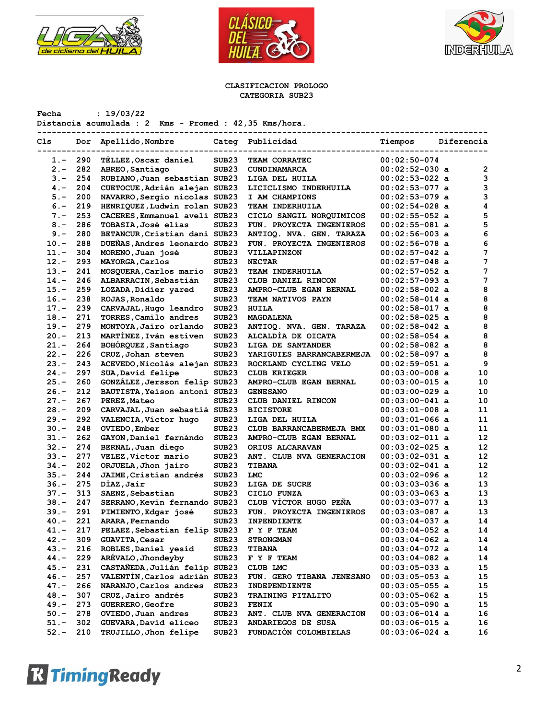





#### **CLASIFICACION PROLOGO CATEGORIA SUB23**

**Fecha : 19/03/22 Distancia acumulada : 2 Kms - Promed : 42,35 Kms/hora.**

| Cls     | Dor | Apellido, Nombre              |                   | Categ Publicidad                | Tiempos          | Diferencia |                         |
|---------|-----|-------------------------------|-------------------|---------------------------------|------------------|------------|-------------------------|
| 1.-     | 290 | TELLEZ, Oscar daniel          | SUB <sub>23</sub> | TEAM CORRATEC                   | $00:02:50-074$   |            |                         |
| $2 -$   | 282 | ABREO, Santiago               | SUB <sub>23</sub> | CUNDINAMARCA                    | $00:02:52-030$ a |            | $\overline{\mathbf{2}}$ |
| $3 -$   | 254 | RUBIANO, Juan sebastian SUB23 |                   | LIGA DEL HUILA                  | $00:02:53-022$ a |            | 3                       |
| $4. -$  | 204 | CUETOCUE, Adrián alejan SUB23 |                   | LICICLISMO INDERHUILA           | $00:02:53-077$ a |            | 3                       |
| $5. -$  | 200 | NAVARRO, Sergio nicolas SUB23 |                   | I AM CHAMPIONS                  | $00:02:53-079$ a |            | 3                       |
| $6. -$  | 219 | HENRIQUEZ, Ludwin rolan SUB23 |                   | TEAM INDERHUILA                 | $00:02:54-028$ a |            | 4                       |
| $7 -$   | 253 | CACERES, Emmanuel aveli SUB23 |                   | CICLO SANGIL NORQUIMICOS        | $00:02:55-052$ a |            | 5                       |
| $8 -$   | 286 | TOBASIA, José elías           | SUB <sub>23</sub> | FUN. PROYECTA INGENIEROS        | $00:02:55-081$ a |            | 5                       |
| $9 -$   | 280 | BETANCUR, Cristian dani SUB23 |                   | <b>ANTIOQ. NVA. GEN. TARAZA</b> | $00:02:56-003$ a |            | 6                       |
| $10. -$ | 288 | DUEÑAS, Andres leonardo SUB23 |                   | FUN. PROYECTA INGENIEROS        | $00:02:56-078$ a |            | 6                       |
| $11. -$ | 304 | MORENO, Juan josé             | SUB <sub>23</sub> | VILLAPINZON                     | $00:02:57-042$ a |            | 7                       |
| $12. -$ | 293 | MAYORGA, Carlos               | SUB <sub>23</sub> | <b>NECTAR</b>                   | $00:02:57-048$ a |            | 7                       |
| $13. -$ | 241 | MOSQUERA, Carlos mario        | SUB <sub>23</sub> | TEAM INDERHUILA                 | $00:02:57-052$ a |            | 7                       |
| $14. -$ | 246 | ALBARRACIN, Sebastián         | SUB <sub>23</sub> | CLUB DANIEL RINCON              | $00:02:57-093$ a |            | 7                       |
| $15. -$ | 259 | LOZADA, Didier yared          | SUB <sub>23</sub> | <b>AMPRO-CLUB EGAN BERNAL</b>   | $00:02:58-002$ a |            | 8                       |
| $16. -$ | 238 | ROJAS, Ronaldo                | SUB <sub>23</sub> | <b>TEAM NATIVOS PAYN</b>        | $00:02:58-014$ a |            | 8                       |
| $17. -$ | 239 | CARVAJAL, Hugo leandro        | SUB <sub>23</sub> | <b>HUILA</b>                    | $00:02:58-017$ a |            | 8                       |
| $18. -$ | 271 | TORRES, Camilo andres         | SUB <sub>23</sub> | MAGDALENA                       | $00:02:58-025$ a |            | 8                       |
| $19. -$ | 279 | MONTOYA, Jairo orlando        | SUB <sub>23</sub> | ANTIOQ. NVA. GEN. TARAZA        | $00:02:58-042$ a |            | 8                       |
| $20 -$  | 213 | MARTÍNEZ, Iván estiven        | SUB <sub>23</sub> | ALCALDIA DE OICATA              | $00:02:58-054$ a |            | 8                       |
| $21. -$ | 264 | BOHÓRQUEZ, Santiago           | SUB <sub>23</sub> | LIGA DE SANTANDER               | $00:02:58-082$ a |            | 8                       |
| $22 -$  | 226 | CRUZ, Johan steven            | SUB <sub>23</sub> | YARIGUIES BARRANCABERMEJA       | $00:02:58-097$ a |            | 8                       |
| $23 -$  | 243 | ACEVEDO, Nicolás alejan SUB23 |                   | ROCKLAND CYCLING VELO           | $00:02:59-051$ a |            | 9                       |
| $24. -$ | 297 | SUA, David felipe             | SUB <sub>23</sub> | <b>CLUB KRIEGER</b>             | $00:03:00-008$ a |            | 10                      |
| $25. -$ | 260 | GONZÁLEZ, Jersson felip SUB23 |                   | AMPRO-CLUB EGAN BERNAL          | $00:03:00-015$ a |            | 10                      |
| $26. -$ | 212 | BAUTISTA, Yeison antoni SUB23 |                   | <b>GENESANO</b>                 | $00:03:00-029$ a |            | 10                      |
| $27. -$ | 267 | PEREZ, Mateo                  | SUB <sub>23</sub> | CLUB DANIEL RINCON              | $00:03:00-041$ a |            | 10                      |
| $28. -$ | 209 | CARVAJAL, Juan sebastiá SUB23 |                   | <b>BICISTORE</b>                | $00:03:01-008$ a |            | 11                      |
| $29. -$ | 292 | VALENCIA, Víctor hugo         | SUB <sub>23</sub> | LIGA DEL HUILA                  | $00:03:01-066$ a |            | 11                      |
| $30 -$  | 248 | OVIEDO, Ember                 | SUB <sub>23</sub> | CLUB BARRANCABERMEJA BMX        | $00:03:01-080$ a |            | 11                      |
| $31 -$  | 262 | GAYON, Daniel fernándo        | SUB <sub>23</sub> | AMPRO-CLUB EGAN BERNAL          | $00:03:02-011$ a |            | 12                      |
| $32 -$  | 274 | BERNAL, Juan diego            | SUB <sub>23</sub> | <b>ORIUS ALCARAVAN</b>          | $00:03:02-025$ a |            | 12                      |
| $33 -$  | 277 | VELEZ, Victor mario           | SUB <sub>23</sub> | ANT. CLUB NVA GENERACION        | $00:03:02-031$ a |            | 12                      |
| $34. -$ | 202 | ORJUELA, Jhon jairo           | SUB23             | <b>TIBANA</b>                   | $00:03:02-041$ a |            | 12                      |
| $35. -$ | 244 | JAIME, Cristian andrés        | SUB <sub>23</sub> | LMC                             | $00:03:02-096$ a |            | 12                      |
| $36. -$ | 275 | DÍAZ, Jaír                    | SUB <sub>23</sub> | LIGA DE SUCRE                   | $00:03:03-036$ a |            | 13                      |
| $37. -$ | 313 | SAENZ, Sebastian              | SUB <sub>23</sub> | CICLO FUNZA                     | $00:03:03-063$ a |            | 13                      |
| $38. -$ | 247 | SERRANO, Kevin fernando SUB23 |                   | CLUB VÍCTOR HUGO PEÑA           | $00:03:03-077$ a |            | 13                      |
| $39. -$ | 291 | PIMIENTO, Edgar josé          | SUB23             | FUN. PROYECTA INGENIEROS        | $00:03:03-087$ a |            | 13                      |
| $40. -$ | 221 | ARARA, Fernando               | SUB <sub>23</sub> | <b>INPENDIENTE</b>              | $00:03:04-037$ a |            | 14                      |
| $41. -$ | 217 | PELAEZ, Sebastian felip SUB23 |                   | F Y F TEAM                      | $00:03:04-052$ a |            | 14                      |
| $42 -$  | 309 | <b>GUAVITA, Cesar</b>         | SUB <sub>23</sub> | <b>STRONGMAN</b>                | $00:03:04-062$ a |            | 14                      |
| $43.-$  | 216 | ROBLES, Daniel yesid          | SUB23             | <b>TIBANA</b>                   | $00:03:04-072$ a |            | 14                      |
| $44. -$ | 229 | ARÉVALO, Jhondeyby            | SUB23             | F Y F TEAM                      | $00:03:04-082$ a |            | 14                      |
| $45.-$  | 231 | CASTAÑEDA, Julián felip SUB23 |                   | CLUB LMC                        | $00:03:05-033$ a |            | 15                      |
| $46. -$ | 257 | VALENTÍN, Carlos adrián SUB23 |                   | FUN. GERO TIBANA JENESANO       | $00:03:05-053$ a |            | 15                      |
| $47. -$ | 266 | NARANJO, Carlos andres        | SUB <sub>23</sub> | INDEPENDIENTE                   | $00:03:05-055$ a |            | 15                      |
| $48. -$ | 307 | CRUZ, Jairo andrés            | SUB <sub>23</sub> | <b>TRAINING PITALITO</b>        | $00:03:05-062$ a |            | 15                      |
| $49. -$ | 273 | <b>GUERRERO, Geofre</b>       | SUB <sub>23</sub> | FENIX                           | $00:03:05-090$ a |            | 15                      |
| $50. -$ | 278 | OVIEDO, Juan andres           | SUB <sub>23</sub> | ANT. CLUB NVA GENERACION        | $00:03:06-014$ a |            | 16                      |
| $51. -$ | 302 | GUEVARA, David eliceo         | SUB <sub>23</sub> | ANDARIEGOS DE SUSA              | $00:03:06-015$ a |            | 16                      |
| $52 -$  | 210 | TRUJILLO, Jhon felipe         | SUB <sub>23</sub> | FUNDACIÓN COLOMBIELAS           | $00:03:06-024$ a |            |                         |
|         |     |                               |                   |                                 |                  |            | 16                      |

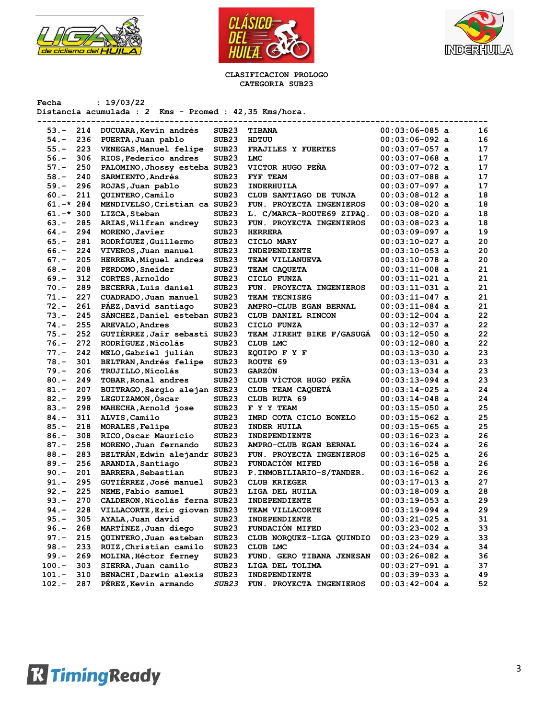





#### **CLASIFICACION PROLOGO CATEGORIA SUB23**

| Fecha      |     | : 19/03/22<br>Distancia acumulada : 2 Kms - Promed : 42,35 Kms/hora. |                   |                           |                  |    |
|------------|-----|----------------------------------------------------------------------|-------------------|---------------------------|------------------|----|
| $53 -$     | 214 | DUCUARA, Kevin andrés                                                | SUB <sub>23</sub> | <b>TIBANA</b>             | $00:03:06-085$ a | 16 |
| $54. -$    | 236 | PUERTA, Juan pablo                                                   | SUB <sub>23</sub> | HDTUU                     | $00:03:06-092$ a | 16 |
| $55. -$    | 223 | VENEGAS, Manuel felipe                                               | SUB <sub>23</sub> | FRAJILES Y FUERTES        | $00:03:07-057$ a | 17 |
| $56. -$    | 306 | RIOS, Federico andres                                                | SUB <sub>23</sub> | LMC                       | 00:03:07-068 a   | 17 |
| $57. -$    | 250 | PALOMINO, Jhossy esteba SUB23                                        |                   | VICTOR HUGO PENA          | $00:03:07-072$ a | 17 |
| $58. -$    | 240 | SARMIENTO, Andrés                                                    | SUB <sub>23</sub> | FYF TEAM                  | $00:03:07-088$ a | 17 |
| $59. -$    | 296 | ROJAS, Juan pablo                                                    | SUB <sub>23</sub> | INDERHUILA                | 00:03:07-097 a   | 17 |
| $60 -$     | 211 | QUINTERO, Camilo                                                     | SUB23             | CLUB SANTIAGO DE TUNJA    | $00:03:08-012$ a | 18 |
| $61.-*284$ |     | MENDIVELSO, Cristian ca SUB23                                        |                   | FUN. PROYECTA INGENIEROS  | $00:03:08-020$ a | 18 |
| $61.-*300$ |     | LIZCA, Steban                                                        | SUB <sub>23</sub> | L. C/MARCA-ROUTE69 ZIPAQ. | $00:03:08-020$ a | 18 |
| $63 -$     | 285 | ARIAS, Wilfran andrey                                                | SUB <sub>23</sub> | FUN. PROYECTA INGENIEROS  | 00:03:08-023 a   | 18 |
| 64.-       | 294 | MORENO, Javier                                                       | SUB <sub>23</sub> | <b>HERRERA</b>            | 00:03:09-097 a   | 19 |
| $65. -$    | 281 | RODRÍGUEZ, Guillermo                                                 | SUB <sub>23</sub> | CICLO MARY                | 00:03:10-027 a   | 20 |
| 66.-       | 224 | VIVEROS, Juan manuel                                                 | SUB <sub>23</sub> | INDEPENDIENTE             | $00:03:10-053$ a | 20 |
| 67.-       | 205 | HERRERA, Miguel andres                                               | SUB <sub>23</sub> | TEAM VILLANUEVA           | $00:03:10-078$ a | 20 |
| 68.-       | 208 | PERDOMO, Sneider                                                     | SUB <sub>23</sub> | TEAM CAQUETA              | $00:03:11-008$ a | 21 |
| $69. -$    | 312 | CORTES, Arnoldo                                                      | SUB <sub>23</sub> | CICLO FUNZA               | $00:03:11-021$ a | 21 |
| $70. -$    | 289 | BECERRA, Luis daniel                                                 | SUB <sub>23</sub> | FUN. PROYECTA INGENIEROS  | $00:03:11-031$ a | 21 |
| $71. -$    | 227 | CUADRADO, Juan manuel                                                | SUB <sub>23</sub> | TEAM TECNISEG             | 00:03:11-047 a   | 21 |
| $72 -$     | 261 | PAEZ, David santiago                                                 | SUB <sub>23</sub> | AMPRO-CLUB EGAN BERNAL    | $00:03:11-084$ a | 21 |
| $73. -$    | 245 | SÁNCHEZ, Daniel esteban SUB23                                        |                   | CLUB DANIEL RINCON        | $00:03:12-004$ a | 22 |
| $74. -$    | 255 | AREVALO, Andres                                                      | SUB <sub>23</sub> | CICLO FUNZA               | $00:03:12-037$ a | 22 |
| $75. -$    | 252 | GUTIÉRREZ, Jair sebasti SUB23                                        |                   | TEAM JIREHT BIKE F/GASUGA | $00:03:12-050$ a | 22 |
| $76. -$    | 272 | RODRÍGUEZ, Nicolás                                                   | SUB23             | CLUB LMC                  | $00:03:12-080$ a | 22 |
| $77. -$    | 242 | MELO, Gabriel julián                                                 | SUB <sub>23</sub> | EQUIPO F Y F              | $00:03:13-030$ a | 23 |
| $78. -$    | 301 | BELTRAN, Andrés felipe                                               | SUB <sub>23</sub> | ROUTE 69                  | $00:03:13-031$ a | 23 |
| $79. -$    | 206 | <b>TRUJILLO, Nicolás</b>                                             | SUB <sub>23</sub> | GARZÓN                    | $00:03:13-034$ a | 23 |
| $80. -$    | 249 | TOBAR, Ronal andres                                                  | SUB23             | CLUB VÍCTOR HUGO PEÑA     | $00:03:13-094$ a | 23 |
| $81. -$    | 207 | BUITRAGO, Sergio alejan SUB23                                        |                   | CLUB TEAM CAQUETA         | $00:03:14-025$ a | 24 |
| $82 -$     | 299 | LEGUIZAMON, Oscar                                                    | SUB <sub>23</sub> | CLUB RUTA 69              | $00:03:14-048$ a | 24 |
| $83 -$     | 298 | MAHECHA, Arnold jose                                                 | SUB <sub>23</sub> | F Y Y TEAM                | $00:03:15-050$ a | 25 |
| $84. -$    | 311 | ALVIS, Camilo                                                        | SUB <sub>23</sub> | IMRD COTA CICLO BONELO    | 00:03:15-062 a   | 25 |
| $85. -$    | 218 | MORALES, Felipe                                                      | SUB <sub>23</sub> | INDER HUILA               | $00:03:15-065$ a | 25 |
| $86. -$    | 308 | RICO, Oscar Mauricio                                                 | SUB <sub>23</sub> | INDEPENDIENTE             | $00:03:16-023$ a | 26 |
| $87. -$    | 258 | MORENO, Juan fernando                                                | SUB <sub>23</sub> | AMPRO-CLUB EGAN BERNAL    | $00:03:16-024$ a | 26 |
| $88. -$    | 283 | BELTRAN, Edwin alejandr SUB23                                        |                   | FUN. PROYECTA INGENIEROS  | 00:03:16-025 a   | 26 |
| $89. -$    | 256 | ARANDIA, Santiago                                                    | SUB23             | FUNDACIÓN MIFED           | 00:03:16-058 a   | 26 |
| $90 -$     | 201 | BARRERA, Sebastian                                                   | SUB23             | P. INMOBILIARIO-S/TANDER. | $00:03:16-062$ a | 26 |
| $91. -$    | 295 | GUTIÉRREZ, José manuel                                               | SUB <sub>23</sub> | <b>CLUB KRIEGER</b>       | $00:03:17-013$ a | 27 |
| 92.-       | 225 | NEME, Fabio samuel                                                   | SUB <sub>23</sub> | LIGA DEL HUILA            | $00:03:18-009$ a | 28 |
| $93 -$     | 270 | CALDERON, Nicolás ferna SUB23                                        |                   | INDEPENDIENTE             | $00:03:19-053$ a | 29 |
| 94.-       | 228 | VILLACORTE, Eric giovan SUB23                                        |                   | <b>TEAM VILLACORTE</b>    | $00:03:19-094$ a | 29 |
| $95. -$    | 305 | AYALA, Juan david                                                    | SUB <sub>23</sub> | INDEPENDIENTE             | $00:03:21-025$ a | 31 |
| $96. -$    | 268 | MARTINEZ, Juan diego                                                 | SUB <sub>23</sub> | FUNDACIÓN MIFED           | $00:03:23-002$ a | 33 |
| $97. -$    | 215 | QUINTERO, Juan esteban                                               | SUB <sub>23</sub> | CLUB NORQUEZ-LIGA QUINDIO | $00:03:23-029$ a | 33 |
| $98. -$    | 233 | RUIZ, Christian camilo                                               | SUB <sub>23</sub> | CLUB LMC                  | $00:03:24-034$ a | 34 |
| $99. -$    | 269 | MOLINA, Héctor ferney                                                | SUB <sub>23</sub> | FUND. GERO TIBANA JENESAN | $00:03:26-082$ a | 36 |
| $100.-$    | 303 | SIERRA, Juan camilo                                                  | SUB <sub>23</sub> | LIGA DEL TOLIMA           | $00:03:27-091$ a | 37 |
| $101.-$    | 310 | BENACHI, Darwin alexis                                               | SUB <sub>23</sub> | INDEPENDIENTE             | $00:03:39-033$ a | 49 |
| $102.-$    | 287 | PEREZ, Kevin armando                                                 | <i>SUB23</i>      | FUN. PROYECTA INGENIEROS  | $00:03:42-004$ a | 52 |
|            |     |                                                                      |                   |                           |                  |    |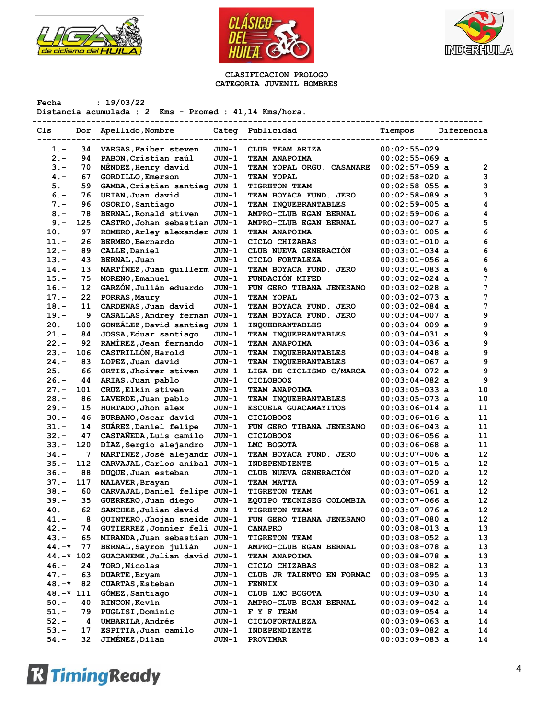





#### **CLASIFICACION PROLOGO CATEGORIA JUVENIL HOMBRES**

**Fecha : 19/03/22 Distancia acumulada : 2 Kms - Promed : 41,14 Kms/hora.**

| Cls          | Dor | Apellido, Nombre              |         | Categ Publicidad            | Tiempos          | Diferencia        |
|--------------|-----|-------------------------------|---------|-----------------------------|------------------|-------------------|
|              |     |                               |         |                             |                  |                   |
| $1 -$        | 34  | VARGAS, Faiber steven         | JUN-1   | CLUB TEAM ARIZA             | $00:02:55-029$   |                   |
| $2 -$        | 94  | PABON, Cristian raúl          | JUN-1   | TEAM ANAPOIMA               | $00:02:55-069$ a |                   |
| $3 -$        | 70  | MENDEZ, Henry david           | $JUN-1$ | TEAM YOPAL ORGU. CASANARE   | $00:02:57-059$ a | 2                 |
| $4 -$        | 67  | <b>GORDILLO, Emerson</b>      | JUN-1   | TEAM YOPAL                  | $00:02:58-020$ a | 3                 |
| $5. -$       | 59  | GAMBA, Cristian santiag JUN-1 |         | TIGRETON TEAM               | $00:02:58-055$ a | 3                 |
| $6. -$       | 76  | URIAN, Juan david             | JUN-1   | TEAM BOYACA FUND. JERO      | $00:02:58-089$ a | 3                 |
| $7. -$       | 96  | OSORIO, Santiago              | JUN-1   | TEAM INQUEBRANTABLES        | $00:02:59-005$ a | 4                 |
| $8 -$        | 78  | BERNAL, Ronald stiven         | JUN-1   | AMPRO-CLUB EGAN BERNAL      | $00:02:59-006$ a | 4                 |
| $9 -$        | 125 | CASTRO, Johan sebastian JUN-1 |         | AMPRO-CLUB EGAN BERNAL      | $00:03:00-027$ a | 5                 |
| $10.-$       | 97  | ROMERO, Arley alexander JUN-1 |         | TEAM ANAPOIMA               | $00:03:01-005$ a | 6                 |
| $11. -$      | 26  | <b>BERMEO, Bernardo</b>       | JUN-1   | CICLO CHIZABAS              | $00:03:01-010$ a | 6                 |
| $12 -$       | 89  | CALLE, Daniel                 | JUN-1   | CLUB NUEVA GENERACIÓN       | $00:03:01-034$ a | 6                 |
| $13 -$       | 43  | BERNAL, Juan                  | JUN-1   | CICLO FORTALEZA             | 00:03:01-056 a   | 6                 |
| $14. -$      | 13  | MARTINEZ, Juan guillerm JUN-1 |         | TEAM BOYACA FUND. JERO      | $00:03:01-083$ a | 6                 |
| $15. -$      | 75  | MORENO, Emanuel               | JUN-1   | FUNDACIÓN MIFED             | $00:03:02-024$ a | 7                 |
| $16. -$      | 12  | GARZÓN, Julián eduardo        | JUN-1   | FUN GERO TIBANA JENESANO    | $00:03:02-028$ a | 7                 |
| $17. -$      | 22  | PORRAS, Maury                 | JUN-1   | TEAM YOPAL                  | 00:03:02-073 a   | 7                 |
| $18. -$      | 11  | CARDENAS, Juan david          | JUN-1   | TEAM BOYACA FUND. JERO      | $00:03:02-084$ a | 7                 |
| 19.-         | 9   | CASALLAS, Andrey fernan JUN-1 |         | TEAM BOYACA FUND. JERO      | $00:03:04-007$ a | 9                 |
| $20 -$       | 100 | GONZÁLEZ, David santiag JUN-1 |         | <b>INQUEBRANTABLES</b>      | $00:03:04-009$ a | 9                 |
| $21. -$      | 84  | JOSSA, Eduar santiago         | JUN-1   | TEAM INQUEBRANTABLES        | $00:03:04-031$ a | 9                 |
| $22 -$       | 92  | RAMÍREZ, Jean fernando        | JUN-1   | <b>TEAM ANAPOIMA</b>        | $00:03:04-036$ a | 9                 |
| $23 -$       | 106 | CASTRILLÓN, Harold            | JUN-1   | <b>TEAM INQUEBRANTABLES</b> | $00:03:04-048$ a | 9                 |
| $24. -$      | 83  | LOPEZ, Juan david             | JUN-1   | TEAM INQUEBRANTABLES        | $00:03:04-067$ a | 9                 |
| $25. -$      | 66  | ORTIZ, Jhoiver stiven         | JUN-1   | LIGA DE CICLISMO C/MARCA    | $00:03:04-072$ a | 9                 |
| $26. -$      | 44  | ARIAS, Juan pablo             | JUN-1   | <b>CICLOBOOZ</b>            | $00:03:04-082$ a | 9                 |
| $27. -$      | 101 | CRUZ, Elkin stiven            | JUN-1   | TEAM ANAPOIMA               | $00:03:05-033$ a | 10                |
| $28. -$      | 86  | LAVERDE, Juan pablo           | JUN-1   | <b>TEAM INQUEBRANTABLES</b> | $00:03:05-073$ a | 10                |
| $29. -$      | 15  | HURTADO, Jhon alex            | JUN-1   | ESCUELA GUACAMAYITOS        | $00:03:06-014$ a | 11                |
| $30 -$       | 46  | BURBANO, Oscar david          | JUN-1   | <b>CICLOBOOZ</b>            | $00:03:06-016$ a | 11                |
| $31 -$       | 14  | SUAREZ, Daniel felipe         | JUN-1   | FUN GERO TIBANA JENESANO    | $00:03:06-043$ a | 11                |
| $32 -$       | 47  | CASTAÑEDA, Luis camilo        | JUN-1   | <b>CICLOBOOZ</b>            | $00:03:06-056$ a | 11                |
| $33 -$       | 120 | DÍAZ, Sergio alejandro        | JUN-1   | LMC BOGOTA                  | $00:03:06-068$ a | 11                |
| $34. -$      | 7   | MARTINEZ, José alejandr JUN-1 |         | TEAM BOYACA FUND. JERO      | $00:03:07-006$ a | $12 \overline{ }$ |
| $35. -$      | 112 | CARVAJAL, Carlos anibal JUN-1 |         | INDEPENDIENTE               | $00:03:07-015$ a | 12                |
| $36. -$      | 88  | DUQUE, Juan esteban           | JUN-1   | CLUB NUEVA GENERACIÓN       | $00:03:07-020$ a | 12                |
| $37. -$      | 117 | MALAVER, Brayan               | JUN-1   | TEAM MATTA                  | $00:03:07-059$ a | $12 \overline{ }$ |
| $38. -$      | 60  | CARVAJAL, Daniel felipe JUN-1 |         | TIGRETON TEAM               | $00:03:07-061$ a | 12                |
| $39. -$      | 35  | GUERRERO, Juan diego          | JUN-1   | EQUIPO TECNISEG COLOMBIA    | $00:03:07-066$ a | 12                |
| $40. -$      | 62  | SANCHEZ, Julian david         | JUN-1   | TIGRETON TEAM               | 00:03:07-076 a   | 12                |
| $41. -$      | 8   | QUINTERO, Jhojan sneide JUN-1 |         | FUN GERO TIBANA JENESANO    | $00:03:07-080$ a | 12                |
| 42.-         | 74  | GUTIERREZ, Jonnier feli JUN-1 |         | <b>CANAPRO</b>              | $00:03:08-013$ a | 13                |
| 43.-         | 65  | MIRANDA, Juan sebastian JUN-1 |         | <b>TIGRETON TEAM</b>        | $00:03:08-052$ a | 13                |
| $44. -*$     | 77  | BERNAL, Sayron julián         | JUN-1   | AMPRO-CLUB EGAN BERNAL      | 00:03:08-078 a   | 13                |
| $44. -* 102$ |     | GUACANEME, Julian david JUN-1 |         | <b>TEAM ANAPOIMA</b>        | $00:03:08-078$ a | 13                |
| $46. -$      | 24  | TORO, Nicolas                 | JUN-1   | CICLO CHIZABAS              | 00:03:08-082 a   | 13                |
| $47. -$      | 63  | DUARTE, Bryam                 | JUN-1   | CLUB JR TALENTO EN FORMAC   | $00:03:08-095$ a | 13                |
| $48. -*$     | 82  | <b>CUARTAS, Esteban</b>       | JUN-1   | <b>FENNIX</b>               | 00:03:09-030 a   | 14                |
| $48. -* 111$ |     | GOMEZ, Santiago               | JUN-1   | CLUB LMC BOGOTA             | 00:03:09-030 a   | 14                |
| $50. -$      | 40  | <b>RINCON, Kevin</b>          | JUN-1   | AMPRO-CLUB EGAN BERNAL      | 00:03:09-042 a   | 14                |
| $51. -$      | 79  | PUGLISI, Dominic              | JUN-1   | F Y F TEAM                  | $00:03:09-054$ a | 14                |
| $52 -$       | 4   | <b>UMBARILA, Andrés</b>       | JUN-1   | <b>CICLOFORTALEZA</b>       | $00:03:09-063$ a | 14                |
| $53. -$      | 17  | ESPITIA, Juan camilo          | JUN-1   | INDEPENDIENTE               | $00:03:09-082$ a | 14                |
| $54. -$      | 32  | JIMÉNEZ, Dilan                | JUN-1   | PROVIMAR                    | $00:03:09-083$ a | 14                |

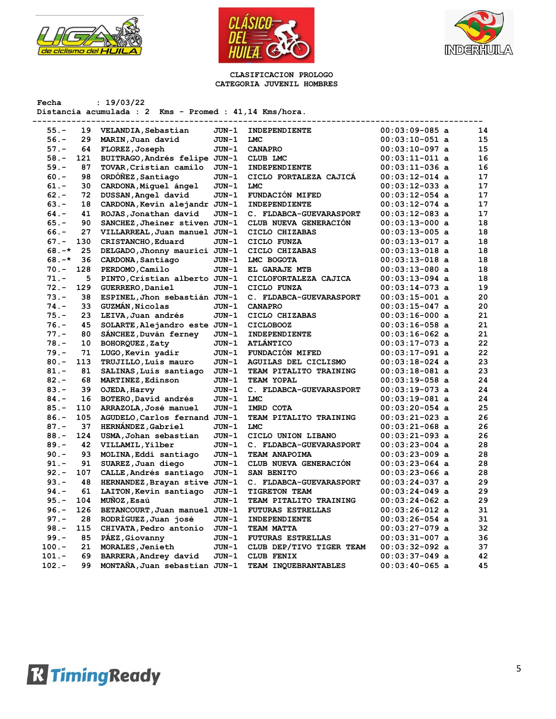





#### **CLASIFICACION PROLOGO CATEGORIA JUVENIL HOMBRES**

| Fecha    |     | : 19/03/22<br>Distancia acumulada : 2 Kms - Promed : 41,14 Kms/hora. |       |                          |                  |    |
|----------|-----|----------------------------------------------------------------------|-------|--------------------------|------------------|----|
| $55. -$  | 19  | VELANDIA, Sebastian                                                  | JUN-1 | INDEPENDIENTE            | $00:03:09-085$ a | 14 |
| $56. -$  | 29  | MARIN, Juan david                                                    | JUN-1 | <b>LMC</b>               | $00:03:10-051$ a | 15 |
| $57. -$  | 64  | FLOREZ, Joseph                                                       | JUN-1 | <b>CANAPRO</b>           | $00:03:10-097$ a | 15 |
| $58. -$  | 121 | BUITRAGO, Andrés felipe JUN-1                                        |       | CLUB LMC                 | $00:03:11-011$ a | 16 |
| $59. -$  | 87  | TOVAR, Cristian camilo                                               | JUN-1 | INDEPENDIENTE            | $00:03:11-036$ a | 16 |
| $60 -$   | 98  | ORDONEZ, Santiago                                                    | JUN-1 | CICLO FORTALEZA CAJICA   | $00:03:12-014$ a | 17 |
| $61 -$   | 30  | CARDONA, Miquel ángel                                                | JUN-1 | <b>LMC</b>               | $00:03:12-033$ a | 17 |
| $62 -$   | 72  | DUSSAN, Angel david                                                  | JUN-1 | FUNDACIÓN MIFED          | $00:03:12-054$ a | 17 |
| $63 -$   | 18  | CARDONA, Kevin alejandr JUN-1                                        |       | INDEPENDIENTE            | $00:03:12-074$ a | 17 |
| $64. -$  | 41  | ROJAS, Jonathan david                                                | JUN-1 | C. FLDABCA-GUEVARASPORT  | $00:03:12-083$ a | 17 |
| $65. -$  | 90  | SANCHEZ, Jheiner stiven JUN-1                                        |       | CLUB NUEVA GENERACIÓN    | $00:03:13-000$ a | 18 |
| $66. -$  | 27  | VILLARREAL, Juan manuel JUN-1                                        |       | CICLO CHIZABAS           | $00:03:13-005$ a | 18 |
| $67. -$  | 130 | CRISTANCHO, Eduard                                                   | JUN-1 | CICLO FUNZA              | $00:03:13-017$ a | 18 |
| $68. -*$ | 25  | DELGADO, Jhonny maurici JUN-1                                        |       | CICLO CHIZABAS           | $00:03:13-018$ a | 18 |
| $68. -*$ | 36  | CARDONA, Santiago                                                    | JUN-1 | LMC BOGOTA               | $00:03:13-018$ a | 18 |
| $70. -$  | 128 | PERDOMO, Camilo                                                      | JUN-1 | EL GARAJE MTB            | $00:03:13-080$ a | 18 |
| $71. -$  | 5   | PINTO, Cristian alberto JUN-1                                        |       | CICLOFORTALEZA CAJICA    | $00:03:13-094$ a | 18 |
| $72. -$  | 129 | GUERRERO, Daniel                                                     | JUN-1 | CICLO FUNZA              | $00:03:14-073$ a | 19 |
| $73. -$  | 38  | ESPINEL, Jhon sebastián JUN-1                                        |       | C. FLDABCA-GUEVARASPORT  | $00:03:15-001$ a | 20 |
| $74. -$  | 33  | <b>GUZMAN, Nicolas</b>                                               | JUN-1 | <b>CANAPRO</b>           | $00:03:15-047$ a | 20 |
| $75. -$  | 23  | LEIVA, Juan andrés                                                   | JUN-1 | CICLO CHIZABAS           | $00:03:16-000$ a | 21 |
| $76. -$  | 45  | SOLARTE, Alejandro este JUN-1                                        |       | <b>CICLOBOOZ</b>         | $00:03:16-058$ a | 21 |
| $77. -$  | 80  | SANCHEZ, Duván ferney                                                | JUN-1 | INDEPENDIENTE            | $00:03:16-062$ a | 21 |
| $78. -$  | 10  | BOHORQUEZ, Zaty                                                      | JUN-1 | <b>ATLÁNTICO</b>         | $00:03:17-073$ a | 22 |
| $79. -$  | 71  | LUGO, Kevin yadir                                                    | JUN-1 | FUNDACIÓN MIFED          | $00:03:17-091$ a | 22 |
| $80. -$  | 113 | TRUJILLO, Luis mauro                                                 | JUN-1 | AGUILAS DEL CICLISMO     | $00:03:18-024$ a | 23 |
| $81. -$  | 81  | SALINAS, Luis santiago                                               | JUN-1 | TEAM PITALITO TRAINING   | $00:03:18-081$ a | 23 |
| $82 -$   | 68  | MARTINEZ, Edinson                                                    | JUN-1 | TEAM YOPAL               | $00:03:19-058$ a | 24 |
| $83.-$   | 39  | OJEDA, Harvy                                                         | JUN-1 | C. FLDABCA-GUEVARASPORT  | $00:03:19-073$ a | 24 |
| $84. -$  | 16  | BOTERO, David andrés                                                 | JUN-1 | <b>LMC</b>               | $00:03:19-081$ a | 24 |
| $85. -$  | 110 | ARRAZOLA, José manuel                                                | JUN-1 | IMRD COTA                | $00:03:20-054$ a | 25 |
| $86. -$  | 105 | AGUDELO, Carlos fernand JUN-1                                        |       | TEAM PITALITO TRAINING   | $00:03:21-023$ a | 26 |
| $87. -$  | 37  | HERNÁNDEZ, Gabriel                                                   | JUN-1 | LMC                      | $00:03:21-068$ a | 26 |
| $88. -$  | 124 | USMA, Johan sebastian                                                | JUN-1 | CICLO UNION LIBANO       | $00:03:21-093$ a | 26 |
| $89. -$  | 42  | VILLAMIL, Yilber                                                     | JUN-1 | C. FLDABCA-GUEVARASPORT  | $00:03:23-004$ a | 28 |
| $90 -$   | 93  | MOLINA, Eddi santiago                                                | JUN-1 | TEAM ANAPOIMA            | $00:03:23-009$ a | 28 |
| $91. -$  | 91  | SUAREZ, Juan diego                                                   | JUN-1 | CLUB NUEVA GENERACION    | $00:03:23-064$ a | 28 |
| $92 -$   | 107 | CALLE, Andrés santiago                                               | JUN-1 | SAN BENITO               | $00:03:23-066$ a | 28 |
| $93 -$   | 48  | HERNANDEZ, Brayan stive JUN-1                                        |       | C. FLDABCA-GUEVARASPORT  | $00:03:24-037$ a | 29 |
| $94. -$  | 61  | LAITON, Kevin santiago                                               | JUN-1 | <b>TIGRETON TEAM</b>     | $00:03:24-049$ a | 29 |
| $95. -$  | 104 | MUNOZ, Esaú                                                          | JUN-1 | TEAM PITALITO TRAINING   | $00:03:24-062$ a | 29 |
| $96. -$  | 126 | BETANCOURT, Juan manuel JUN-1                                        |       | <b>FUTURAS ESTRELLAS</b> | $00:03:26-012$ a | 31 |
| $97. -$  | 28  | RODRIGUEZ, Juan josé                                                 | JUN-1 | INDEPENDIENTE            | $00:03:26-054$ a | 31 |
| $98. -$  | 115 | CHIVATA, Pedro antonio                                               | JUN-1 | TEAM MATTA               | $00:03:27-079$ a | 32 |
| $99. -$  | 85  | PAEZ, Giovanny                                                       | JUN-1 | <b>FUTURAS ESTRELLAS</b> | $00:03:31-007$ a | 36 |
| $100.-$  | 21  | MORALES, Jenieth                                                     | JUN-1 | CLUB DEP/TIVO TIGER TEAM | $00:03:32-092$ a | 37 |
| $101. -$ | 69  | BARRERA, Andrey david                                                | JUN-1 | <b>CLUB FENIX</b>        | $00:03:37-049$ a | 42 |
| $102 -$  | 99  | MONTAÑA, Juan sebastian JUN-1                                        |       | TEAM INQUEBRANTABLES     | $00:03:40-065$ a | 45 |
|          |     |                                                                      |       |                          |                  |    |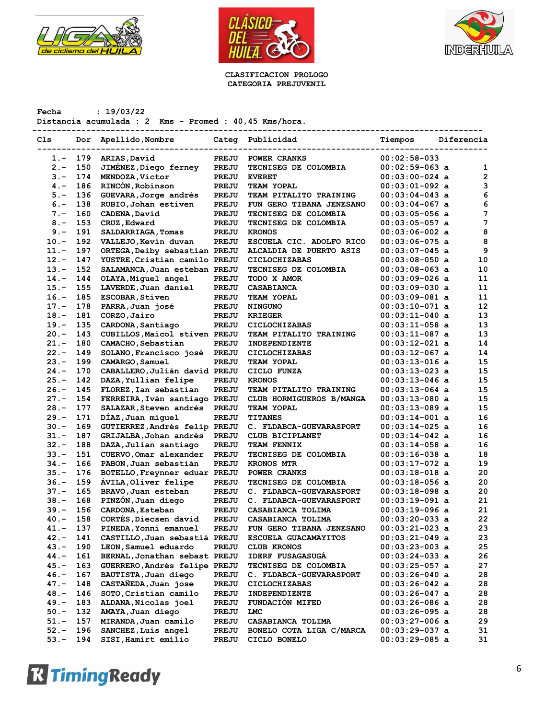





**CLASIFICACION PROLOGO CATEGORIA PREJUVENIL**

**Fecha : 19/03/22**

**Distancia acumulada : 2 Kms - Promed : 40,45 Kms/hora.**

| Cls     | Dor | Apellido, Nombre              | Categ        | Publicidad                    | Tiempos          | Diferencia |    |
|---------|-----|-------------------------------|--------------|-------------------------------|------------------|------------|----|
| 1.-     | 179 | ARIAS, David                  | PREJU        | POWER CRANKS                  | $00:02:58-033$   |            |    |
| $2 -$   | 150 | JIMENEZ, Diego ferney         | PREJU        | TECNISEG DE COLOMBIA          | $00:02:59-063$ a |            | 1  |
| $3 -$   | 174 | MENDOZA, Victor               | PREJU        | <b>EVERET</b>                 | $00:03:00-024$ a |            | 2  |
| $4. -$  | 186 | RINCÓN, Robinson              | PREJU        | TEAM YOPAL                    | $00:03:01-092$ a |            | 3  |
| $5. -$  | 136 | GUEVARA, Jorge andrés         | PREJU        | TEAM PITALITO TRAINING        | $00:03:04-043$ a |            | 6  |
| $6. -$  | 138 | RUBIO, Johan estiven          | PREJU        | FUN GERO TIBANA JENESANO      | $00:03:04-067$ a |            | 6  |
| $7. -$  | 160 | CADENA, David                 | PREJU        | TECNISEG DE COLOMBIA          | $00:03:05-056$ a |            | 7  |
| $8 -$   | 153 | CRUZ, Edward                  | PREJU        | TECNISEG DE COLOMBIA          | $00:03:05-057$ a |            | 7  |
| $9 -$   | 191 | SALDARRIAGA, Tomas            | <b>PREJU</b> | <b>KRONOS</b>                 | $00:03:06-002$ a |            | 8  |
| $10. -$ | 192 | VALLEJO, Kevin duvan          | PREJU        | ESCUELA CIC. ADOLFO RICO      | $00:03:06-075$ a |            | 8  |
| $11. -$ | 197 | ORTEGA, Deiby sebastian PREJU |              | ALCALDIA DE PUERTO ASIS       | $00:03:07-045$ a |            | 9  |
| $12. -$ | 147 | YUSTRE, Cristian camilo PREJU |              | <b>CICLOCHIZABAS</b>          | $00:03:08-050$ a |            | 10 |
| $13. -$ | 152 | SALAMANCA, Juan esteban PREJU |              | TECNISEG DE COLOMBIA          | $00:03:08-063$ a |            | 10 |
| $14. -$ | 144 | OLAYA, Miquel angel           | PREJU        | TODO X AMOR                   | 00:03:09-026 a   |            | 11 |
| $15. -$ | 155 | LAVERDE, Juan daniel          | PREJU        | <b>CASABIANCA</b>             | $00:03:09-030$ a |            | 11 |
| $16. -$ | 185 | <b>ESCOBAR, Stiven</b>        | PREJU        | <b>TEAM YOPAL</b>             | $00:03:09-081$ a |            | 11 |
| $17. -$ | 178 |                               |              |                               |                  |            | 12 |
|         |     | PARRA, Juan josé              | PREJU        | <b>NINGUNO</b>                | $00:03:10-071$ a |            |    |
| $18. -$ | 181 | CORZO, Jairo                  | PREJU        | <b>KRIEGER</b>                | $00:03:11-040$ a |            | 13 |
| $19. -$ | 135 | CARDONA, Santiago             | <b>PREJU</b> | <b>CICLOCHIZABAS</b>          | $00:03:11-058$ a |            | 13 |
| $20. -$ | 143 | CUBILLOS, Maicol stiven PREJU |              | TEAM PITALITO TRAINING        | $00:03:11-087$ a |            | 13 |
| $21. -$ | 180 | CAMACHO, Sebastian            | PREJU        | INDEPENDIENTE                 | $00:03:12-021$ a |            | 14 |
| $22 -$  | 149 | SOLANO, Francisco josé        | <b>PREJU</b> | <b>CICLOCHIZABAS</b>          | $00:03:12-067$ a |            | 14 |
| $23 -$  | 199 | CAMARGO, Samuel               | <b>PREJU</b> | TEAM YOPAL                    | $00:03:13-016$ a |            | 15 |
| $24. -$ | 170 | CABALLERO, Julián david PREJU |              | CICLO FUNZA                   | $00:03:13-023$ a |            | 15 |
| $25. -$ | 142 | DAZA, Yullian felipe          | PREJU        | <b>KRONOS</b>                 | $00:03:13-046$ a |            | 15 |
| $26. -$ | 145 | FLOREZ, Ian sebastian         | PREJU        | <b>TEAM PITALITO TRAINING</b> | $00:03:13-064$ a |            | 15 |
| $27. -$ | 154 | FERREIRA, Iván santiago PREJU |              | CLUB HORMIGUEROS B/MANGA      | $00:03:13-080$ a |            | 15 |
| $28. -$ | 177 | SALAZAR, Steven andrés        | <b>PREJU</b> | <b>TEAM YOPAL</b>             | $00:03:13-089$ a |            | 15 |
| $29. -$ | 171 | DÍAZ, Juan miquel             | <b>PREJU</b> | <b>TITANES</b>                | $00:03:14-001$ a |            | 16 |
| $30 -$  | 169 | GUTIERREZ, Andrés felip PREJU |              | C. FLDABCA-GUEVARASPORT       | $00:03:14-025$ a |            | 16 |
| $31 -$  | 187 | GRIJALBA, Johan andrés        | <b>PREJU</b> | CLUB BICIPLANET               | $00:03:14-042$ a |            | 16 |
| $32 -$  | 188 | DAZA, Julian santiago         | <b>PREJU</b> | <b>TEAM FENNIX</b>            | $00:03:14-058$ a |            | 16 |
| $33 -$  | 151 | CUERVO, Omar alexander        | PREJU        | TECNISEG DE COLOMBIA          | $00:03:16-038$ a |            | 18 |
| $34. -$ | 166 | PABON, Juan sebastián         | PREJU        | <b>KRONOS MTR</b>             | $00:03:17-072$ a |            | 19 |
| $35. -$ | 176 | BOTELLO, Freynner eduar PREJU |              | POWER CRANKS                  | $00:03:18-018$ a |            | 20 |
| $36. -$ | 159 | AVILA, Oliver felipe          | PREJU        | TECNISEG DE COLOMBIA          | $00:03:18-056$ a |            | 20 |
| $37. -$ | 165 | BRAVO, Juan esteban           | PREJU        | C. FLDABCA-GUEVARASPORT       | $00:03:18-098$ a |            | 20 |
| $38. -$ | 168 | PINZÓN, Juan diego            | PREJU        | C. FLDABCA-GUEVARASPORT       | $00:03:19-091$ a |            | 21 |
| 39.-    | 156 | CARDONA, Esteban              | PREJU        | CASABIANCA TOLIMA             | 00:03:19-096 a   |            | 21 |
| $40. -$ | 158 | CORTÉS, Diecsen david         | PREJU        | CASABIANCA TOLIMA             | $00:03:20-033$ a |            | 22 |
| $41. -$ | 137 | PINEDA, Yonni emanuel         | PREJU        | FUN GERO TIBANA JENESANO      | 00:03:21-023 a   |            | 23 |
| $42 -$  | 141 | CASTILLO, Juan sebastiá PREJU |              | ESCUELA GUACAMAYITOS          | $00:03:21-049$ a |            | 23 |
| $43.-$  | 190 | LEON, Samuel eduardo          | PREJU        | <b>CLUB KRONOS</b>            | $00:03:23-003$ a |            | 25 |
| $44. -$ | 161 | BERNAL, Jonathan sebast PREJU |              | IDERF FUSAGASUGÁ              | $00:03:24-033$ a |            | 26 |
| $45. -$ | 163 | GUERRERO, Andrés felipe PREJU |              | TECNISEG DE COLOMBIA          | $00:03:25-057$ a |            | 27 |
| $46. -$ | 167 | BAUTISTA, Juan diego          | PREJU        | C. FLDABCA-GUEVARASPORT       | $00:03:26-040$ a |            | 28 |
| $47. -$ | 148 | CASTANEDA, Juan jose          | PREJU        | <b>CICLOCHIZABAS</b>          | 00:03:26-042 a   |            | 28 |
| $48. -$ | 146 | SOTO, Cristian camilo         | PREJU        | INDEPENDIENTE                 | $00:03:26-047$ a |            | 28 |
| $49. -$ | 183 | ALDANA, Nicolas joel          | PREJU        | FUNDACIÓN MIFED               | $00:03:26-086$ a |            | 28 |
| $50. -$ | 132 | AMAYA, Juan diego             |              | LMC                           |                  |            |    |
| $51. -$ | 157 |                               | PREJU        |                               | 00:03:26-095 a   |            | 28 |
| $52 -$  | 196 | MIRANDA, Juan camilo          | PREJU        | CASABIANCA TOLIMA             | 00:03:27-006 a   |            | 29 |
|         |     | SANCHEZ, Luis angel           | PREJU        | BONELO COTA LIGA C/MARCA      | $00:03:29-037$ a |            | 31 |
| $53. -$ | 194 | SISI, Hamirt emilio           | PREJU        | CICLO BONELO                  | $00:03:29-085$ a |            | 31 |

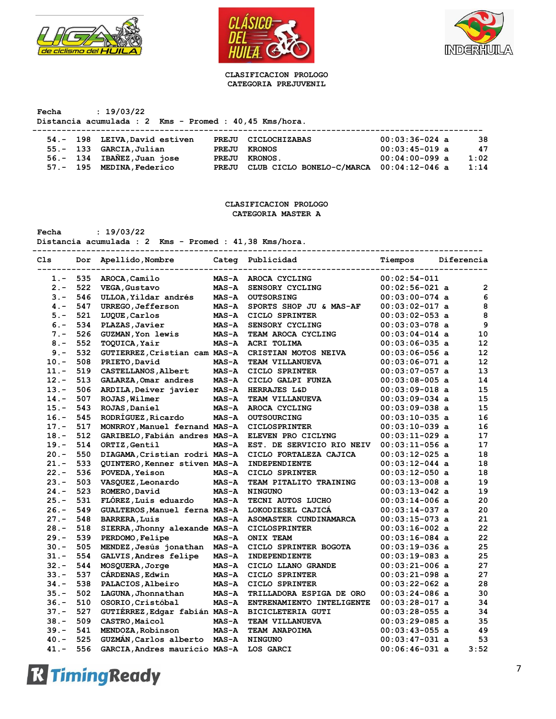





#### **CLASIFICACION PROLOGO CATEGORIA PREJUVENIL**

**Fecha : 19/03/22 Distancia acumulada : 2 Kms - Promed : 40,45 Kms/hora.**

|  | 54.- 198 LEIVA, David estiven |       | PREJU CICLOCHIZABAS                      | $00:03:36-024$ a | 38   |
|--|-------------------------------|-------|------------------------------------------|------------------|------|
|  | 55.- 133 GARCIA, Julian       |       | PREJU KRONOS                             | $00:03:45-019$ a | 47   |
|  | 56.- 134 IBAÑEZ, Juan jose    |       | PREJU KRONOS.                            | $00:04:00-099$ a | 1:02 |
|  | 57.- 195 MEDINA, Federico     | PREJU | CLUB CICLO BONELO-C/MARCA 00:04:12-046 a |                  | 1:14 |

## **CLASIFICACION PROLOGO CATEGORIA MASTER A**

**Fecha : 19/03/22**

**Distancia acumulada : 2 Kms - Promed : 41,38 Kms/hora.**

| C1s     | Dor | Apellido, Nombre              |              | Categ Publicidad          | Tiempos          | Diferencia        |
|---------|-----|-------------------------------|--------------|---------------------------|------------------|-------------------|
| 1.-     | 535 | AROCA, Camilo                 | <b>MAS-A</b> | AROCA CYCLING             | $00:02:54-011$   |                   |
| $2 -$   | 522 | VEGA, Gustavo                 | <b>MAS-A</b> | SENSORY CYCLING           | $00:02:56-021$ a | $\overline{2}$    |
| $3 -$   | 546 | ULLOA, Yildar andrés          | <b>MAS-A</b> | <b>OUTSORSING</b>         | $00:03:00-074$ a | 6                 |
| $4 -$   | 547 | URREGO, Jefferson             | <b>MAS-A</b> | SPORTS SHOP JU & MAS-AF   | $00:03:02-017$ a | 8                 |
| $5. -$  | 521 | LUQUE, Carlos                 | <b>MAS-A</b> | CICLO SPRINTER            | $00:03:02-053$ a | 8                 |
| $6. -$  | 534 | PLAZAS, Javier                | $MAS - A$    | SENSORY CYCLING           | $00:03:03-078$ a | 9                 |
| $7 -$   | 526 | <b>GUZMAN, Yon lewis</b>      | <b>MAS-A</b> | TEAM AROCA CYCLING        | $00:03:04-014$ a | 10                |
| $8 -$   | 552 | <b>TOQUICA, Yair</b>          | <b>MAS-A</b> | <b>ACRI TOLIMA</b>        | $00:03:06-035$ a | 12                |
| $9 -$   | 532 | GUTIERREZ, Cristian cam MAS-A |              | CRISTIAN MOTOS NEIVA      | $00:03:06-056$ a | 12                |
| $10. -$ | 508 | PRIETO, David                 | $MAS - A$    | <b>TEAM VILLANUEVA</b>    | $00:03:06-071$ a | $12 \overline{ }$ |
| $11. -$ | 519 | CASTELLANOS, Albert           | $MAS - A$    | CICLO SPRINTER            | $00:03:07-057$ a | 13                |
| $12 -$  | 513 | GALARZA, Omar andres          | $MAS - A$    | CICLO GALPI FUNZA         | $00:03:08-005$ a | 14                |
| $13. -$ | 506 | ARDILA, Deiver javier         | <b>MAS-A</b> | HERRAJES L&D              | $00:03:09-018$ a | 15                |
| $14. -$ | 507 | ROJAS, Wilmer                 | <b>MAS-A</b> | TEAM VILLANUEVA           | $00:03:09-034$ a | 15                |
| $15. -$ | 543 | ROJAS, Daniel                 | <b>MAS-A</b> | AROCA CYCLING             | $00:03:09-038$ a | 15                |
| $16. -$ | 545 | RODRÍGUEZ, Ricardo            | <b>MAS-A</b> | <b>OUTSOURCING</b>        | $00:03:10-035$ a | 16                |
| $17. -$ | 517 | MONRROY, Manuel fernand MAS-A |              | <b>CICLOSPRINTER</b>      | $00:03:10-039$ a | 16                |
| $18. -$ | 512 | GARIBELO, Fabián andres MAS-A |              | ELEVEN PRO CICLYNG        | $00:03:11-029$ a | 17                |
| $19. -$ | 514 | ORTIZ, Gentil                 | $MAS - A$    | EST. DE SERVICIO RIO NEIV | $00:03:11-056$ a | 17                |
| $20. -$ | 550 | DIAGAMA, Cristian rodri MAS-A |              | CICLO FORTALEZA CAJICA    | $00:03:12-025$ a | 18                |
| $21. -$ | 533 | QUINTERO, Kenner stiven MAS-A |              | INDEPENDIENTE             | $00:03:12-044$ a | 18                |
| $22 -$  | 536 | POVEDA, Yeison                | <b>MAS-A</b> | CICLO SPRINTER            | $00:03:12-050$ a | 18                |
| $23 -$  | 503 | VASQUEZ, Leonardo             | $MAS - A$    | TEAM PITALITO TRAINING    | $00:03:13-008$ a | 19                |
| $24. -$ | 523 | ROMERO, David                 | <b>MAS-A</b> | <b>NINGUNO</b>            | $00:03:13-042$ a | 19                |
| $25. -$ | 531 | FLÓREZ, Luis eduardo          | $MAS - A$    | TECNI AUTOS LUCHO         | $00:03:14-006$ a | 20                |
| $26. -$ | 549 | GUALTEROS, Manuel ferna MAS-A |              | LOKODIESEL CAJICA         | $00:03:14-037$ a | 20                |
| $27. -$ | 548 | <b>BARRERA, Luis</b>          | <b>MAS-A</b> | ASOMASTER CUNDINAMARCA    | $00:03:15-073$ a | 21                |
| $28. -$ | 518 | SIERRA, Jhonny alexande MAS-A |              | <b>CICLOSPRINTER</b>      | $00:03:16-002$ a | 22                |
| $29. -$ | 539 | PERDOMO, Felipe               | $MAS - A$    | ONIX TEAM                 | $00:03:16-084$ a | 22                |
| $30 -$  | 505 | MENDEZ, Jesús jonathan MAS-A  |              | CICLO SPRINTER BOGOTA     | $00:03:19-036$ a | 25                |
| $31 -$  | 554 | GALVIS, Andres felipe         | <b>MAS-A</b> | INDEPENDIENTE             | $00:03:19-083$ a | 25                |
| $32 -$  | 544 | MOSQUERA, Jorge               | $MAS - A$    | CICLO LLANO GRANDE        | $00:03:21-006$ a | 27                |
| $33 -$  | 537 | CÁRDENAS, Edwin               | <b>MAS-A</b> | CICLO SPRINTER            | $00:03:21-098$ a | 27                |
| $34. -$ | 538 | PALACIOS, Albeiro             | <b>MAS-A</b> | CICLO SPRINTER            | $00:03:22-062$ a | 28                |
| $35. -$ | 502 | LAGUNA, Jhonnathan            | <b>MAS-A</b> | TRILLADORA ESPIGA DE ORO  | $00:03:24-086$ a | 30                |
| $36. -$ | 510 | OSORIO, Cristóbal             | <b>MAS-A</b> | ENTRENAMIENTO INTELIGENTE | $00:03:28-017$ a | 34                |
| $37 -$  | 527 | GUTIÉRREZ, Edgar fabián MAS-A |              | <b>BICICLETERIA GUTI</b>  | $00:03:28-055$ a | 34                |
| $38. -$ | 509 | CASTRO, Maicol                | $MAS - A$    | TEAM VILLANUEVA           | $00:03:29-085$ a | 35                |
| $39. -$ | 541 | MENDOZA, Robinson             | <b>MAS-A</b> | TEAM ANAPOIMA             | $00:03:43-055$ a | 49                |
| $40. -$ | 525 | GUZMÁN, Carlos alberto MAS-A  |              | <b>NINGUNO</b>            | $00:03:47-031$ a | 53                |
| $41. -$ | 556 | GARCIA, Andres mauricio MAS-A |              | LOS GARCI                 | $00:06:46-031$ a | 3:52              |

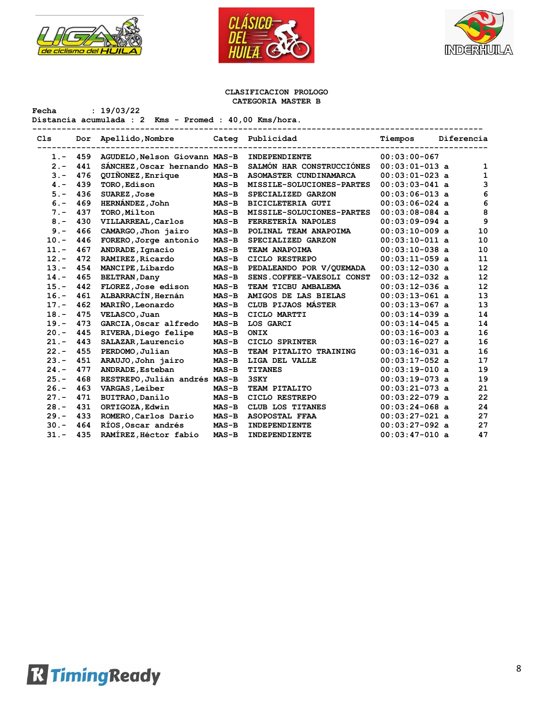

**Fecha : 19/03/22**





## **CLASIFICACION PROLOGO CATEGORIA MASTER B**

**Distancia acumulada : 2 Kms - Promed : 40,00 Kms/hora.**

| Cls     | Dor | Apellido, Nombre              |         | Categ Publicidad          | Tiempos          | Diferencia |    |
|---------|-----|-------------------------------|---------|---------------------------|------------------|------------|----|
| $1 -$   | 459 | AGUDELO, Nelson Giovann MAS-B |         | INDEPENDIENTE             | $00:03:00-067$   |            |    |
| $2 -$   | 441 | SÁNCHEZ, Oscar hernando MAS-B |         | SALMÓN HAR CONSTRUCCIÓNES | $00:03:01-013$ a |            | 1  |
| $3 -$   | 476 | QUIÑONEZ, Enrique             | $MAS-B$ | ASOMASTER CUNDINAMARCA    | $00:03:01-023$ a |            | 1  |
| $4 -$   | 439 | TORO, Edison                  | $MAS-B$ | MISSILE-SOLUCIONES-PARTES | $00:03:03-041$ a |            | 3  |
| $5. -$  | 436 | SUAREZ, Jose                  | $MAS-B$ | SPECIALIZED GARZON        | $00:03:06-013$ a |            | 6  |
| $6. -$  | 469 | <b>HERNÁNDEZ, John</b>        | $MAS-B$ | <b>BICICLETERIA GUTI</b>  | $00:03:06-024$ a |            | 6  |
| $7 -$   | 437 | TORO, Milton                  | $MAS-B$ | MISSILE-SOLUCIONES-PARTES | $00:03:08-084$ a |            | 8  |
| $8 -$   | 430 | VILLARREAL, Carlos            | $MAS-B$ | FERRETERÍA NAPOLES        | $00:03:09-094$ a |            | 9  |
| $9 -$   | 466 | CAMARGO, Jhon jairo           | $MAS-B$ | POLINAL TEAM ANAPOIMA     | $00:03:10-009$ a |            | 10 |
| $10. -$ | 446 | FORERO, Jorge antonio         | $MAS-B$ | SPECIALIZED GARZON        | $00:03:10-011$ a |            | 10 |
| $11. -$ | 467 | ANDRADE, Ignacio              | $MAS-B$ | TEAM ANAPOIMA             | $00:03:10-038$ a |            | 10 |
| $12. -$ | 472 | RAMIREZ, Ricardo              | $MAS-B$ | CICLO RESTREPO            | $00:03:11-059$ a |            | 11 |
| $13. -$ | 454 | MANCIPE, Libardo              | $MAS-B$ | PEDALEANDO POR V/OUEMADA  | $00:03:12-030$ a |            | 12 |
| $14. -$ | 465 | <b>BELTRAN, Dany</b>          | $MAS-B$ | SENS.COFFEE-VAESOLI CONST | $00:03:12-032$ a |            | 12 |
| $15. -$ | 442 | FLOREZ, Jose edison           | $MAS-B$ | TEAM TICBU AMBALEMA       | $00:03:12-036$ a |            | 12 |
| $16. -$ | 461 | ALBARRACÍN, Hernán            | $MAS-B$ | AMIGOS DE LAS BIELAS      | $00:03:13-061$ a |            | 13 |
| $17. -$ | 462 | MARIÑO, Leonardo              | $MAS-B$ | CLUB PIJAOS MÁSTER        | $00:03:13-067$ a |            | 13 |
| $18. -$ | 475 | VELASCO, Juan                 | $MAS-B$ | CICLO MARTTI              | $00:03:14-039$ a |            | 14 |
| $19. -$ | 473 | GARCIA, Oscar alfredo         | $MAS-B$ | LOS GARCI                 | $00:03:14-045$ a |            | 14 |
| $20 -$  | 445 | RIVERA, Diego felipe          | $MAS-B$ | ONIX                      | $00:03:16-003$ a |            | 16 |
| $21. -$ | 443 | SALAZAR, Laurencio            | $MAS-B$ | CICLO SPRINTER            | $00:03:16-027$ a |            | 16 |
| $22 -$  | 455 | PERDOMO, Julian               | $MAS-B$ | TEAM PITALITO TRAINING    | $00:03:16-031$ a |            | 16 |
| $23 -$  | 451 | ARAUJO, John jairo            | $MAS-B$ | LIGA DEL VALLE            | $00:03:17-052$ a |            | 17 |
| $24. -$ | 477 | ANDRADE, Esteban              | $MAS-B$ | <b>TITANES</b>            | $00:03:19-010$ a |            | 19 |
| $25. -$ | 468 | RESTREPO, Julián andrés MAS-B |         | 3SKY                      | $00:03:19-073$ a |            | 19 |
| $26. -$ | 463 | VARGAS, Leiber                | $MAS-B$ | TEAM PITALITO             | $00:03:21-073$ a |            | 21 |
| $27. -$ | 471 | BUITRAO, Danilo               | $MAS-B$ | CICLO RESTREPO            | $00:03:22-079$ a |            | 22 |
| $28. -$ | 431 | ORTIGOZA, Edwin               | $MAS-B$ | CLUB LOS TITANES          | $00:03:24-068$ a |            | 24 |
| $29. -$ | 433 | ROMERO, Carlos Dario          | $MAS-B$ | <b>ASOPOSTAL FFAA</b>     | $00:03:27-021$ a |            | 27 |
| $30 -$  | 464 | RÍOS, Oscar andrés            | $MAS-B$ | INDEPENDIENTE             | $00:03:27-092$ a |            | 27 |
| $31 -$  | 435 | RAMÍREZ, Héctor fabio         | $MAS-B$ | INDEPENDIENTE             | $00:03:47-010$ a |            | 47 |

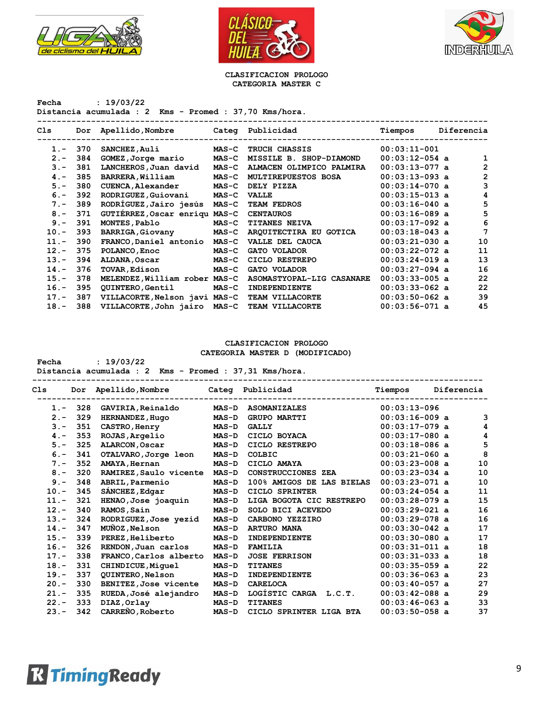





#### **CLASIFICACION PROLOGO CATEGORIA MASTER C**

**Fecha : 19/03/22 Distancia acumulada : 2 Kms - Promed : 37,70 Kms/hora.**

| Cls     | Dor | Apellido, Nombre              |              | Categ Publicidad           | Tiempos          | Diferencia |    |
|---------|-----|-------------------------------|--------------|----------------------------|------------------|------------|----|
| $1 -$   | 370 | SANCHEZ, Auli                 | $MAS-C$      | <b>TRUCH CHASSIS</b>       | $00:03:11-001$   |            |    |
| $2 -$   | 384 | GOMEZ, Jorge mario            | $MAS-C$      | MISSILE B. SHOP-DIAMOND    | $00:03:12-054$ a |            | 1  |
| $3 -$   | 381 | LANCHEROS, Juan david         | $MAS-C$      | ALMACEN OLIMPICO PALMIRA   | $00:03:13-077$ a |            | 2  |
| $4 -$   | 385 | BARRERA, William              | $MAS-C$      | <b>MULTIREPUESTOS BOSA</b> | $00:03:13-093$ a |            | 2  |
| $5. -$  | 380 | CUENCA, Alexander             | <b>MAS-C</b> | DELY PIZZA                 | $00:03:14-070$ a |            | 3  |
| $6 -$   | 392 | RODRIGUEZ, Guiovani           | $MAS-C$      | <b>VALLE</b>               | $00:03:15-013$ a |            | 4  |
| $7 -$   | 389 | RODRÍGUEZ, Jairo jesús        | $MAS-C$      | <b>TEAM FEDROS</b>         | $00:03:16-040$ a |            | 5  |
| $8 -$   | 371 | GUTIÉRREZ, Oscar enriqu MAS-C |              | <b>CENTAUROS</b>           | $00:03:16-089$ a |            | 5  |
| $9 -$   | 391 | MONTES, Pablo                 | $MAS-C$      | <b>TITANES NEIVA</b>       | $00:03:17-092$ a |            | 6  |
| $10. -$ | 393 | <b>BARRIGA, Giovany</b>       | $MAS-C$      | ARQUITECTIRA EU GOTICA     | $00:03:18-043$ a |            | 7  |
| $11. -$ | 390 | FRANCO, Daniel antonio        | $MAS-C$      | VALLE DEL CAUCA            | $00:03:21-030$ a |            | 10 |
| $12 -$  | 375 | POLANCO, Enoc                 | $MAS-C$      | GATO VOLADOR               | $00:03:22-072$ a |            | 11 |
| $13 -$  | 394 | ALDANA, Oscar                 | $MAS-C$      | CICLO RESTREPO             | $00:03:24-019$ a |            | 13 |
| $14. -$ | 376 | <b>TOVAR, Edison</b>          | $MAS-C$      | GATO VOLADOR               | $00:03:27-094$ a |            | 16 |
| $15. -$ | 378 | MELENDEZ, William rober MAS-C |              | ASOMASTYOPAL-LIG CASANARE  | $00:03:33-005$ a |            | 22 |
| $16. -$ | 395 | QUINTERO, Gentil              | $MAS-C$      | <b>INDEPENDIENTE</b>       | $00:03:33-062$ a |            | 22 |
| $17. -$ | 387 | VILLACORTE, Nelson javi MAS-C |              | TEAM VILLACORTE            | $00:03:50-062$ a |            | 39 |
| $18. -$ | 388 | VILLACORTE, John jairo MAS-C  |              | TEAM VILLACORTE            | $00:03:56-071$ a |            | 45 |

## **CLASIFICACION PROLOGO**

**CATEGORIA MASTER D (MODIFICADO)**

| Fecha | : 19/03/22                                             |  |  |  |  |
|-------|--------------------------------------------------------|--|--|--|--|
|       | Distancia acumulada : 2 Kms - Promed : 37,31 Kms/hora. |  |  |  |  |

| Cls     | Dor | Apellido, Nombre       | Categ        | Publicidad                | Tiempos          | Diferencia |
|---------|-----|------------------------|--------------|---------------------------|------------------|------------|
| $1 -$   | 328 | GAVIRIA, Reinaldo      | <b>MAS-D</b> | <b>ASOMANIZALES</b>       | $00:03:13-096$   |            |
| $2 -$   | 329 | HERNANDEZ, Hugo        | $MAS-D$      | <b>GRUPO MARTTI</b>       | $00:03:16-009$ a | 3          |
| $3 -$   | 351 | CASTRO, Henry          | $MAS-D$      | <b>GALLY</b>              | $00:03:17-079$ a | 4          |
| $4 -$   | 353 | ROJAS, Argelio         | $MAS-D$      | CICLO BOYACA              | $00:03:17-080$ a | 4          |
| $5. -$  | 325 | ALARCON, Oscar         | $MAS-D$      | CICLO RESTREPO            | $00:03:18-086$ a | 5          |
| $6 -$   | 341 | OTALVARO, Jorge leon   | $MAS-D$      | COLBIC                    | $00:03:21-060$ a | 8          |
| $7 -$   | 352 | AMAYA, Hernan          | $MAS-D$      | CICLO AMAYA               | $00:03:23-008$ a | 10         |
| $8 -$   | 320 | RAMIREZ, Saulo vicente | $MAS-D$      | CONSTRUCCIONES ZEA        | $00:03:23-034$ a | 10         |
| $9 -$   | 348 | ABRIL, Parmenio        | <b>MAS-D</b> | 100% AMIGOS DE LAS BIELAS | $00:03:23-071$ a | 10         |
| $10. -$ | 345 | SÁNCHEZ, Edgar         | $MAS-D$      | CICLO SPRINTER            | $00:03:24-054$ a | 11         |
| $11. -$ | 321 | HENAO, Jose joaquin    | <b>MAS-D</b> | LIGA BOGOTA CIC RESTREPO  | $00:03:28-079$ a | 15         |
| $12 -$  | 340 | RAMOS, Sain            | $MAS-D$      | SOLO BICI ACEVEDO         | $00:03:29-021$ a | 16         |
| $13. -$ | 324 | RODRIGUEZ, Jose yezid  | <b>MAS-D</b> | CARBONO YEZZIRO           | $00:03:29-078$ a | 16         |
| $14. -$ | 347 | MUNOZ, Nelson          | $MAS-D$      | <b>ARTURO MANA</b>        | $00:03:30-042$ a | 17         |
| $15. -$ | 339 | PEREZ, Heliberto       | $MAS-D$      | <b>INDEPENDIENTE</b>      | $00:03:30-080$ a | 17         |
| $16. -$ | 326 | RENDON, Juan carlos    | $MAS-D$      | <b>FAMILIA</b>            | $00:03:31-011$ a | 18         |
| $17. -$ | 338 | FRANCO, Carlos alberto | $MAS-D$      | <b>JOSE FERRISON</b>      | $00:03:31-033$ a | 18         |
| $18. -$ | 331 | CHINDICUE, Miquel      | $MAS-D$      | <b>TITANES</b>            | $00:03:35-059$ a | 22         |
| $19. -$ | 337 | QUINTERO, Nelson       | $MAS-D$      | INDEPENDIENTE             | $00:03:36-063$ a | 23         |
| $20 -$  | 330 | BENITEZ, Jose vicente  | <b>MAS-D</b> | <b>CARELOCA</b>           | $00:03:40-057$ a | 27         |
| $21 -$  | 335 | RUEDA, José alejandro  | $MAS-D$      | LOGÍSTIC CARGA<br>L.C.T.  | $00:03:42-088$ a | 29         |
| $22 -$  | 333 | DIAZ, Orlay            | <b>MAS-D</b> | <b>TITANES</b>            | $00:03:46-063$ a | 33         |
| $23 -$  | 342 | CARREÑO, Roberto       | $MAS-D$      | CICLO SPRINTER LIGA BTA   | $00:03:50-058$ a | 37         |
|         |     |                        |              |                           |                  |            |

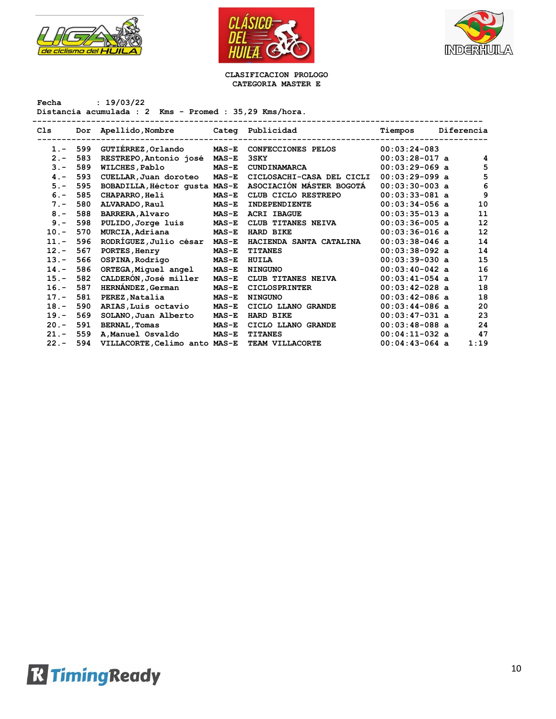





#### **CLASIFICACION PROLOGO CATEGORIA MASTER E**

**Fecha : 19/03/22 Distancia acumulada : 2 Kms - Promed : 35,29 Kms/hora. -------------------------------------------------------------------------------------------- Cls Dor Apellido,Nombre Categ Publicidad Tiempos Diferencia -------------------------------------------------------------------------------------------- 1.- 599 GUTIÉRREZ,Orlando MAS-E CONFECCIONES PELOS 00:03:24-083 2.- 583 RESTREPO,Antonio josé MAS-E 3SKY 00:03:28-017 a 4 3.- 589 WILCHES,Pablo MAS-E CUNDINAMARCA 00:03:29-069 a 5 4.- 593 CUELLAR,Juan doroteo MAS-E CICLOSACHI-CASA DEL CICLI 00:03:29-099 a 5 5.- 595 BOBADILLA,Héctor gusta MAS-E ASOCIACIÓN MÁSTER BOGOTÁ 00:03:30-003 a 6 6.- 585 CHAPARRO,Heli MAS-E CLUB CICLO RESTREPO 00:03:33-081 a 9 7.- 580 ALVARADO,Raul MAS-E INDEPENDIENTE 00:03:34-056 a 10 8.- 588 BARRERA,Alvaro MAS-E ACRI IBAGUE 00:03:35-013 a 11 9.- 598 PULIDO,Jorge luis MAS-E CLUB TITANES NEIVA 00:03:36-005 a 12 10.- 570 MURCIA,Adriana MAS-E HARD BIKE 00:03:36-016 a 12 11.- 596 RODRÍGUEZ,Julio césar MAS-E HACIENDA SANTA CATALINA 00:03:38-046 a 14 12.- 567 PORTES,Henry MAS-E TITANES 00:03:38-092 a 14 13.- 566 OSPINA,Rodrigo MAS-E HUILA 00:03:39-030 a 15 14.- 586 ORTEGA,Miguel angel MAS-E NINGUNO 00:03:40-042 a 16 15.- 582 CALDERÓN,José miller MAS-E CLUB TITANES NEIVA 00:03:41-054 a 17 16.- 587 HERNÁNDEZ,German MAS-E CICLOSPRINTER 00:03:42-028 a 18 17.- 581 PEREZ,Natalia MAS-E NINGUNO 00:03:42-086 a 18 18.- 590 ARIAS,Luis octavio MAS-E CICLO LLANO GRANDE 00:03:44-086 a 20 19.- 569 SOLANO,Juan Alberto MAS-E HARD BIKE 00:03:47-031 a 23 20.- 591 BERNAL,Tomas MAS-E CICLO LLANO GRANDE 00:03:48-088 a 24**

 **21.- 559 A,Manuel Osvaldo MAS-E TITANES 00:04:11-032 a 47 22.- 594 VILLACORTE,Celimo anto MAS-E TEAM VILLACORTE 00:04:43-064 a 1:19**

# **R** Timing Ready